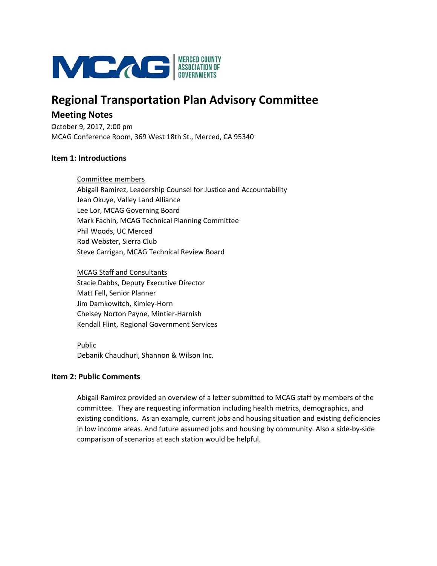

# **Regional Transportation Plan Advisory Committee**

## **Meeting Notes**

October 9, 2017, 2:00 pm MCAG Conference Room, 369 West 18th St., Merced, CA 95340

### **Item 1: Introductions**

Committee members Abigail Ramirez, Leadership Counsel for Justice and Accountability Jean Okuye, Valley Land Alliance Lee Lor, MCAG Governing Board Mark Fachin, MCAG Technical Planning Committee Phil Woods, UC Merced Rod Webster, Sierra Club Steve Carrigan, MCAG Technical Review Board

MCAG Staff and Consultants Stacie Dabbs, Deputy Executive Director Matt Fell, Senior Planner Jim Damkowitch, Kimley‐Horn Chelsey Norton Payne, Mintier‐Harnish Kendall Flint, Regional Government Services

Public Debanik Chaudhuri, Shannon & Wilson Inc.

## **Item 2: Public Comments**

Abigail Ramirez provided an overview of a letter submitted to MCAG staff by members of the committee. They are requesting information including health metrics, demographics, and existing conditions. As an example, current jobs and housing situation and existing deficiencies in low income areas. And future assumed jobs and housing by community. Also a side‐by‐side comparison of scenarios at each station would be helpful.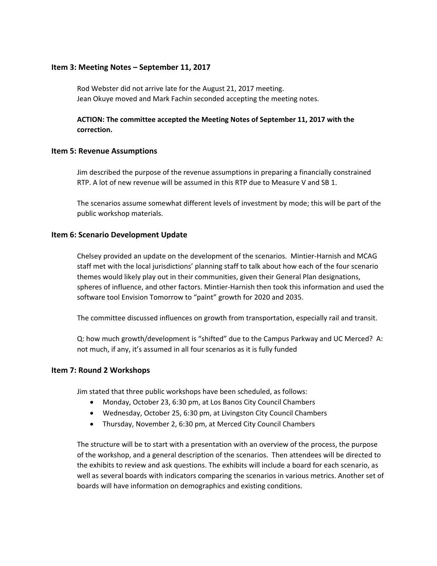#### **Item 3: Meeting Notes – September 11, 2017**

Rod Webster did not arrive late for the August 21, 2017 meeting. Jean Okuye moved and Mark Fachin seconded accepting the meeting notes.

## **ACTION: The committee accepted the Meeting Notes of September 11, 2017 with the correction.**

#### **Item 5: Revenue Assumptions**

Jim described the purpose of the revenue assumptions in preparing a financially constrained RTP. A lot of new revenue will be assumed in this RTP due to Measure V and SB 1.

The scenarios assume somewhat different levels of investment by mode; this will be part of the public workshop materials.

#### **Item 6: Scenario Development Update**

Chelsey provided an update on the development of the scenarios. Mintier‐Harnish and MCAG staff met with the local jurisdictions' planning staff to talk about how each of the four scenario themes would likely play out in their communities, given their General Plan designations, spheres of influence, and other factors. Mintier‐Harnish then took this information and used the software tool Envision Tomorrow to "paint" growth for 2020 and 2035.

The committee discussed influences on growth from transportation, especially rail and transit.

Q: how much growth/development is "shifted" due to the Campus Parkway and UC Merced? A: not much, if any, it's assumed in all four scenarios as it is fully funded

#### **Item 7: Round 2 Workshops**

Jim stated that three public workshops have been scheduled, as follows:

- Monday, October 23, 6:30 pm, at Los Banos City Council Chambers
- Wednesday, October 25, 6:30 pm, at Livingston City Council Chambers
- Thursday, November 2, 6:30 pm, at Merced City Council Chambers

The structure will be to start with a presentation with an overview of the process, the purpose of the workshop, and a general description of the scenarios. Then attendees will be directed to the exhibits to review and ask questions. The exhibits will include a board for each scenario, as well as several boards with indicators comparing the scenarios in various metrics. Another set of boards will have information on demographics and existing conditions.